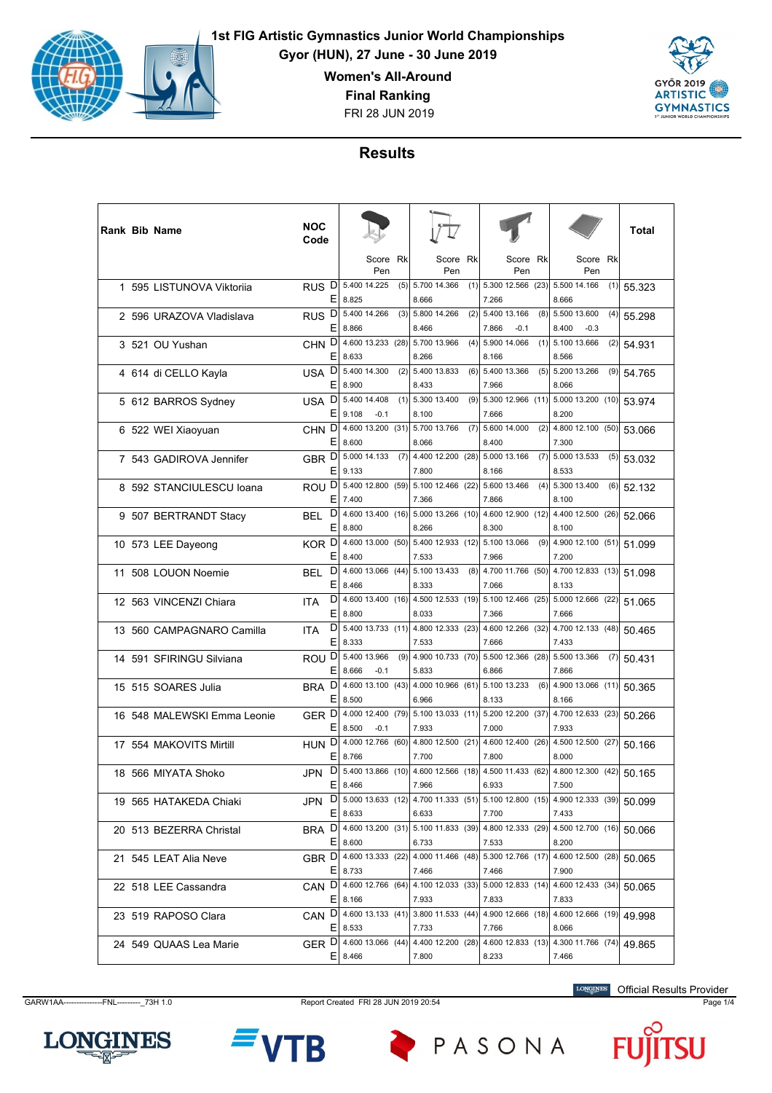

**Gyor (HUN), 27 June - 30 June 2019**

**Women's All-Around**

**Final Ranking**

FRI 28 JUN 2019



## **Results**

|  | <b>Rank Bib Name</b>        | NOC<br>Code             |                            |                             |      |                                                                                        |     |                                        |      |                                       |     | Total  |
|--|-----------------------------|-------------------------|----------------------------|-----------------------------|------|----------------------------------------------------------------------------------------|-----|----------------------------------------|------|---------------------------------------|-----|--------|
|  |                             |                         |                            | Score<br>Pen                | Rk   | Score<br>Pen                                                                           | Rk  | Score<br>Pen                           | Rk   | Score<br>Pen                          | Rk  |        |
|  | 1 595 LISTUNOVA Viktorija   | D<br><b>RUS</b><br>Ε    | 5.400 14.225<br>8.825      |                             | (5)  | 5.700 14.366<br>8.666                                                                  |     | $(1)$ 5.300 12.566<br>7.266            | (23) | 5.500 14.166<br>8.666                 | (1) | 55.323 |
|  | 2 596 URAZOVA Vladislava    | D<br><b>RUS</b><br>Ε    | 8.866                      | 5.400 14.266                |      | $(3)$ 5.800 14.266<br>8.466                                                            |     | $(2)$ 5.400 13.166<br>7.866<br>$-0.1$  |      | $(8)$ 5.500 13.600<br>8.400<br>$-0.3$ | (4) | 55.298 |
|  | 3 521 OU Yushan             | CHN <sub>D</sub><br>Ε   | 8.633                      | 4.600 13.233 (28)           |      | 5.700 13.966<br>8.266                                                                  | (4) | 5.900 14.066<br>8.166                  | (1)  | 5.100 13.666<br>8.566                 | (2) | 54.931 |
|  | 4 614 di CELLO Kayla        | D<br>USA<br>Е           | 8.900                      | 5.400 14.300                | (2)  | 5.400 13.833<br>8.433                                                                  | (6) | 5.400 13.366<br>7.966                  | (5)  | 5.200 13.266<br>8.066                 | (9) | 54.765 |
|  | 5 612 BARROS Sydney         | D<br>USA<br>Е           | 9.108                      | 5.400 14.408<br>$-0.1$      | (1)  | 5.300 13.400<br>8.100                                                                  |     | $(9)$ 5.300 12.966<br>7.666            |      | $(11)$ 5.000 13.200 (10)<br>8.200     |     | 53.974 |
|  | 6 522 WEI Xiaoyuan          | CHN <sub>D</sub><br>Ε   | 8.600                      | 4.600 13.200 (31)           |      | 5.700 13.766<br>8.066                                                                  | (7) | 5.600 14.000<br>8.400                  | (2)  | 4.800 12.100 (50)<br>7.300            |     | 53.066 |
|  | 7 543 GADIROVA Jennifer     | GBR <sup>D</sup><br>E.  | 9.133                      | 5.000 14.133                | (7)  | 4.400 12.200 (28)<br>7.800                                                             |     | 5.000 13.166<br>8.166                  | (7)  | 5.000 13.533<br>8.533                 | (5) | 53.032 |
|  | 8 592 STANCIULESCU Ioana    | ROU <sup>D</sup><br>Ε   | 7.400                      | 5.400 12.800 (59)           |      | 5.100 12.466 (22) 5.600 13.466<br>7.366                                                |     | 7.866                                  |      | $(4)$ 5.300 13.400<br>8.100           | (6) | 52.132 |
|  | 9 507 BERTRANDT Stacy       | D<br>BEL<br>Ε           | 8.800                      | 4.600 13.400 (16)           |      | 5.000 13.266 (10)<br>8.266                                                             |     | 4.600 12.900 (12)<br>8.300             |      | 4.400 12.500 (26)<br>8.100            |     | 52.066 |
|  | 10 573 LEE Dayeong          | KOR <sup>D</sup><br>Е   | 8.400                      | 4.600 13.000                | (50) | 5.400 12.933 (12) 5.100 13.066<br>7.533                                                |     | 7.966                                  | (9)  | 4.900 12.100 (51)<br>7.200            |     | 51.099 |
|  | 11 508 LOUON Noemie         | D<br><b>BEL</b><br>E    | 8.466                      | 4.600 13.066 (44)           |      | 5.100 13.433<br>8.333                                                                  |     | $(8)$   4.700 11.766 $(50)$  <br>7.066 |      | 4.700 12.833 (13)<br>8.133            |     | 51.098 |
|  | 12 563 VINCENZI Chiara      | D<br><b>ITA</b><br>Ε    | 8.800                      | 4.600 13.400 (16)           |      | 4.500 12.533 (19)<br>8.033                                                             |     | 5.100 12.466 (25)<br>7.366             |      | 5.000 12.666 (22)<br>7.666            |     | 51.065 |
|  | 13 560 CAMPAGNARO Camilla   | D<br><b>ITA</b><br>Е    | 8.333                      | $5.400$ 13.733 (11)         |      | 4.800 12.333 (23) 4.600 12.266 (32)<br>7.533                                           |     | 7.666                                  |      | 4.700 12.133 (48)<br>7.433            |     | 50.465 |
|  | 14 591 SFIRINGU Silviana    | ROU <sup>D</sup><br>Ε   | 8.666                      | 5.400 13.966<br>$-0.1$      | (9)  | 4.900 10.733 (70) 5.500 12.366 (28)<br>5.833                                           |     | 6.866                                  |      | 5.500 13.366<br>7.866                 | (7) | 50.431 |
|  | 15 515 SOARES Julia         | D<br><b>BRA</b><br>E    | 8.500                      | 4.600 13.100 (43)           |      | 4.000 10.966 (61)<br>6.966                                                             |     | 5.100 13.233<br>8.133                  | (6)  | 4.900 13.066 (11)<br>8.166            |     | 50.365 |
|  | 16 548 MALEWSKI Emma Leonie | GER <sup>D</sup><br>Е   | 8.500                      | 4.000 12.400 (79)<br>$-0.1$ |      | 5.100 13.033 (11) 5.200 12.200<br>7.933                                                |     | 7.000                                  | (37) | 4.700 12.633 (23)<br>7.933            |     | 50.266 |
|  | 17 554 MAKOVITS Mirtill     | HUN <sup>D</sup><br>Ε   | 8.766                      |                             |      | 4.000 12.766 (60) 4.800 12.500 (21) 4.600 12.400 (26)<br>7.700                         |     | 7.800                                  |      | 4.500 12.500 (27)<br>8.000            |     | 50.166 |
|  | 18 566 MIYATA Shoko         | D<br>JPN<br>Ε           | 8.466                      | 5.400 13.866 (10)           |      | 4.600 12.566 (18)<br>7.966                                                             |     | 4.500 11.433 (62)<br>6.933             |      | 4.800 12.300 (42)<br>7.500            |     | 50.165 |
|  | 19 565 HATAKEDA Chiaki      |                         | $E$ 8.633                  |                             |      | JPN D 5.000 13.633 (12) 4.700 11.333 (51) 5.100 12.800 (15) 4.900 12.333 (39)<br>6.633 |     | 7.700                                  |      | 7.433                                 |     | 50.099 |
|  | 20 513 BEZERRA Christal     |                         | E 8.600                    |                             |      | BRA D 4.600 13.200 (31) 5.100 11.833 (39) 4.800 12.333 (29) 4.500 12.700 (16)<br>6.733 |     | 7.533                                  |      | 8.200                                 |     | 50.066 |
|  | 21 545 LEAT Alia Neve       | GBR D 4.600 13.333 (22) |                            |                             |      | 4.000 11.466 (48) 5.300 12.766 (17)                                                    |     |                                        |      | 4.600 12.500 (28)                     |     | 50.065 |
|  | 22 518 LEE Cassandra        |                         | $E$   8.733                |                             |      | 7.466<br>CAN D 4.600 12.766 (64) 4.100 12.033 (33) 5.000 12.833 (14)<br>7.933          |     | 7.466<br>7.833                         |      | 7.900<br>4.600 12.433 (34)<br>7.833   |     | 50.065 |
|  | 23 519 RAPOSO Clara         |                         | $E$   8.166                |                             |      | CAN D 4.600 13.133 (41) 3.800 11.533 (44) 4.900 12.666 (18)                            |     |                                        |      | 4.600 12.666 (19)                     |     | 49.998 |
|  | 24 549 QUAAS Lea Marie      | GER D 4.600 13.066 (44) | $E$   8.533<br>$E$   8.466 |                             |      | 7.733<br>4.400 12.200 (28) 4.600 12.833 (13)<br>7.800                                  |     | 7.766<br>8.233                         |      | 8.066<br>4.300 11.766 (74)<br>7.466   |     | 49.865 |

GARW1AA---------------FNL---------\_73H 1.0 Report Created FRI 28 JUN 2019 20:54 Page 1/4

Official Results Provider





PASONA

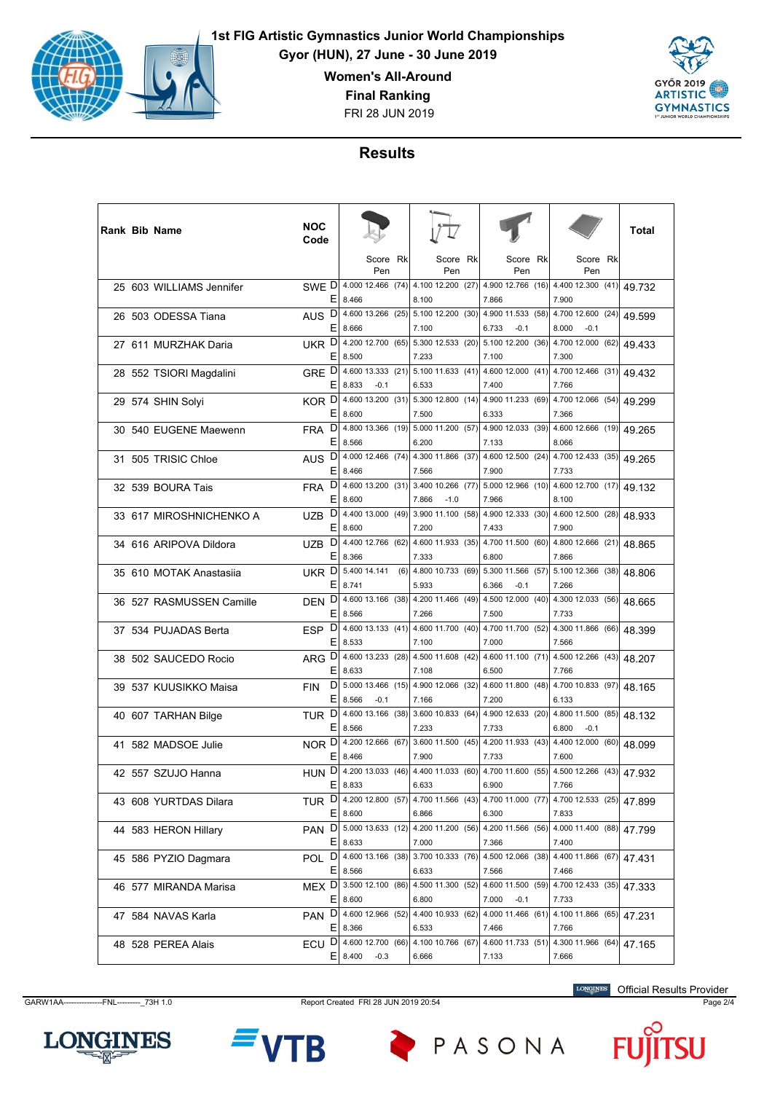

**Gyor (HUN), 27 June - 30 June 2019**

**Women's All-Around**

**Final Ranking**

FRI 28 JUN 2019



## **Results**

|  | <b>Rank Bib Name</b>     | <b>NOC</b><br>Code |        |                                        |     |                                                                                        |                                                                          |                                      | Total  |
|--|--------------------------|--------------------|--------|----------------------------------------|-----|----------------------------------------------------------------------------------------|--------------------------------------------------------------------------|--------------------------------------|--------|
|  |                          |                    |        | Score Rk<br>Pen                        |     | Score Rk<br>Pen                                                                        | Score Rk<br>Pen                                                          | Score Rk<br>Pen                      |        |
|  | 25 603 WILLIAMS Jennifer | SWE D              | Е      | 4.000 12.466 (74)<br>8.466             |     | 8.100                                                                                  | 4.100 12.200 (27) 4.900 12.766 (16) 4.400 12.300 (41)<br>7.866           | 7.900                                | 49.732 |
|  | 26 503 ODESSA Tiana      | AUS <sub>D</sub>   | Ε      | 4.600 13.266 (25)<br>8.666             |     | 7.100                                                                                  | 5.100 12.200 (30) 4.900 11.533 (58) 4.700 12.600 (24)<br>6.733<br>$-0.1$ | 8.000<br>$-0.1$                      | 49.599 |
|  | 27 611 MURZHAK Daria     | UKR D              | Ε      | 4.200 12.700 (65)<br>8.500             |     | 5.300 12.533 (20)<br>7.233                                                             | 5.100 12.200 (36)<br>7.100                                               | 4.700 12.000 (62)<br>7.300           | 49.433 |
|  | 28 552 TSIORI Magdalini  | GRE D              | Е      | 4.600 13.333 (21)<br>8.833<br>$-0.1$   |     | 6.533                                                                                  | 5.100 11.633 (41) 4.600 12.000 (41) 4.700 12.466 (31)<br>7.400           | 7.766                                | 49.432 |
|  | 29 574 SHIN Solyi        | KOR <sup>D</sup>   | Ε      | 4.600 13.200 (31)<br>8.600             |     | 7.500                                                                                  | 5.300 12.800 (14) 4.900 11.233 (69) 4.700 12.066 (54)<br>6.333           | 7.366                                | 49.299 |
|  | 30 540 EUGENE Maewenn    | D<br><b>FRA</b>    | Е      | 4.800 13.366 (19)<br>8.566             |     | 5.000 11.200 (57)<br>6.200                                                             | 4.900 12.033 (39)<br>7.133                                               | 4.600 12.666 (19)<br>8.066           | 49.265 |
|  | 31 505 TRISIC Chloe      | AUS <sub>D</sub>   | Е      | 4.000 12.466 (74)<br>8.466             |     | 7.566                                                                                  | 4.300 11.866 (37) 4.600 12.500 (24) 4.700 12.433 (35)<br>7.900           | 7.733                                | 49.265 |
|  | 32 539 BOURA Tais        | D<br><b>FRA</b>    | Ε      | 4.600 13.200 (31)<br>8.600             |     | 7.866<br>$-1.0$                                                                        | 3.400 10.266 (77) 5.000 12.966 (10) 4.600 12.700 (17)<br>7.966           | 8.100                                | 49.132 |
|  | 33 617 MIROSHNICHENKO A  | D<br><b>UZB</b>    | Ε      | 4.400 13.000 (49)<br>8.600             |     | 3.900 11.100 (58)<br>7.200                                                             | 4.900 12.333 (30)<br>7.433                                               | 4.600 12.500 (28)<br>7.900           | 48.933 |
|  | 34 616 ARIPOVA Dildora   | <b>UZB</b>         | D<br>E | 4.400 12.766 (62)<br>8.366             |     | 7.333                                                                                  | 4.600 11.933 (35) 4.700 11.500 (60)<br>6.800                             | 4.800 12.666 (21)<br>7.866           | 48.865 |
|  | 35 610 MOTAK Anastasija  | UKR D              | Ε      | 5.400 14.141<br>8.741                  | (6) | 5.933                                                                                  | 4.800 10.733 (69) 5.300 11.566 (57) 5.100 12.366 (38)<br>6.366<br>$-0.1$ | 7.266                                | 48.806 |
|  | 36 527 RASMUSSEN Camille | D<br><b>DEN</b>    | Е      | 4.600 13.166 (38)<br>8.566             |     | 4.200 11.466 (49)<br>7.266                                                             | 4.500 12.000 (40)<br>7.500                                               | 4.300 12.033 (56)<br>7.733           | 48.665 |
|  | 37 534 PUJADAS Berta     | ESP <sub>D</sub>   | Ε      | 4.60013.133(41)<br>8.533               |     | 7.100                                                                                  | 4.600 11.700 (40) 4.700 11.700 (52) 4.300 11.866 (66)<br>7.000           | 7.566                                | 48.399 |
|  | 38 502 SAUCEDO Rocio     | ARG D              | Ε      | 4.600 13.233 (28)<br>8.633             |     | 7.108                                                                                  | 4.500 11.608 (42) 4.600 11.100 (71) 4.500 12.266 (43)<br>6.500           | 7.766                                | 48.207 |
|  | 39 537 KUUSIKKO Maisa    | <b>FIN</b>         | D<br>Е | 5.000 13.466 (15)<br>8.566<br>$-0.1$   |     | 7.166                                                                                  | 4.900 12.066 (32) 4.600 11.800 (48)<br>7.200                             | 4.700 10.833 (97)<br>6.133           | 48.165 |
|  | 40 607 TARHAN Bilge      | D<br><b>TUR</b>    | Е      | 4.600 13.166 (38)<br>8.566             |     | 7.233                                                                                  | 3.600 10.833 (64) 4.900 12.633 (20)<br>7.733                             | 4.800 11.500 (85)<br>6.800<br>$-0.1$ | 48.132 |
|  | 41 582 MADSOE Julie      | NOR D              | Ε      | 4.200 12.666 (67)<br>8.466             |     | 7.900                                                                                  | 3.600 11.500 (45) 4.200 11.933 (43)<br>7.733                             | 4.400 12.000 (60)<br>7.600           | 48.099 |
|  | 42 557 SZUJO Hanna       | D<br>HUN           | Е      | 4.200 13.033 (46)                      |     | 4.400 11.033 (60)                                                                      |                                                                          | 4.700 11.600 (55) 4.500 12.266 (43)  | 47.932 |
|  | 43 608 YURTDAS Dilara    |                    |        | 8.833                                  |     | 6.633<br>TUR D 4.200 12.800 (57) 4.700 11.566 (43) 4.700 11.000 (77) 4.700 12.533 (25) | 6.900                                                                    | 7.766                                | 47.899 |
|  | 44 583 HERON Hillary     | PAN DI             | E.     | 8.600<br>$5.000$ 13.633 (12)           |     | 6.866                                                                                  | 6.300<br>4.200 11.200 (56) 4.200 11.566 (56) 4.000 11.400 (88)           | 7.833                                | 47.799 |
|  | 45 586 PYZIO Dagmara     | POL D              | E.     | 8.633<br>4.600 13.166 (38)             |     | 7.000                                                                                  | 7.366<br>3.700 10.333 (76) 4.500 12.066 (38)                             | 7.400<br>4.400 11.866 (67)           | 47.431 |
|  | 46 577 MIRANDA Marisa    | MEX <sub>D</sub>   | E,     | 8.566<br>3.500 12.100 (86)             |     | 6.633                                                                                  | 7.566<br>4.500 11.300 (52) 4.600 11.500 (59)                             | 7.466<br>4.700 12.433 (35)           | 47.333 |
|  | 47 584 NAVAS Karla       |                    |        | $E$   8.600<br>PAN D 4.600 12.966 (52) |     | 6.800                                                                                  | 7.000<br>$-0.1$<br>4.400 10.933 (62) 4.000 11.466 (61)                   | 7.733<br>4.100 11.866 (65)           | 47.231 |
|  | 48 528 PEREA Alais       | ECU D              |        | $E$   8.366<br>4.600 12.700 (66)       |     | 6.533<br>4.100 10.766 (67)                                                             | 7.466<br>4.600 11.733 (51)                                               | 7.766<br>4.300 11.966 (64)           | 47.165 |
|  |                          |                    | E.     | 8.400<br>$-0.3$                        |     | 6.666                                                                                  | 7.133                                                                    | 7.666                                |        |

**LONGINES** 

GARW1AA---------------FNL---------\_73H 1.0 Report Created FRI 28 JUN 2019 20:54 Page 2/4

B

PASONA



Official Results Provider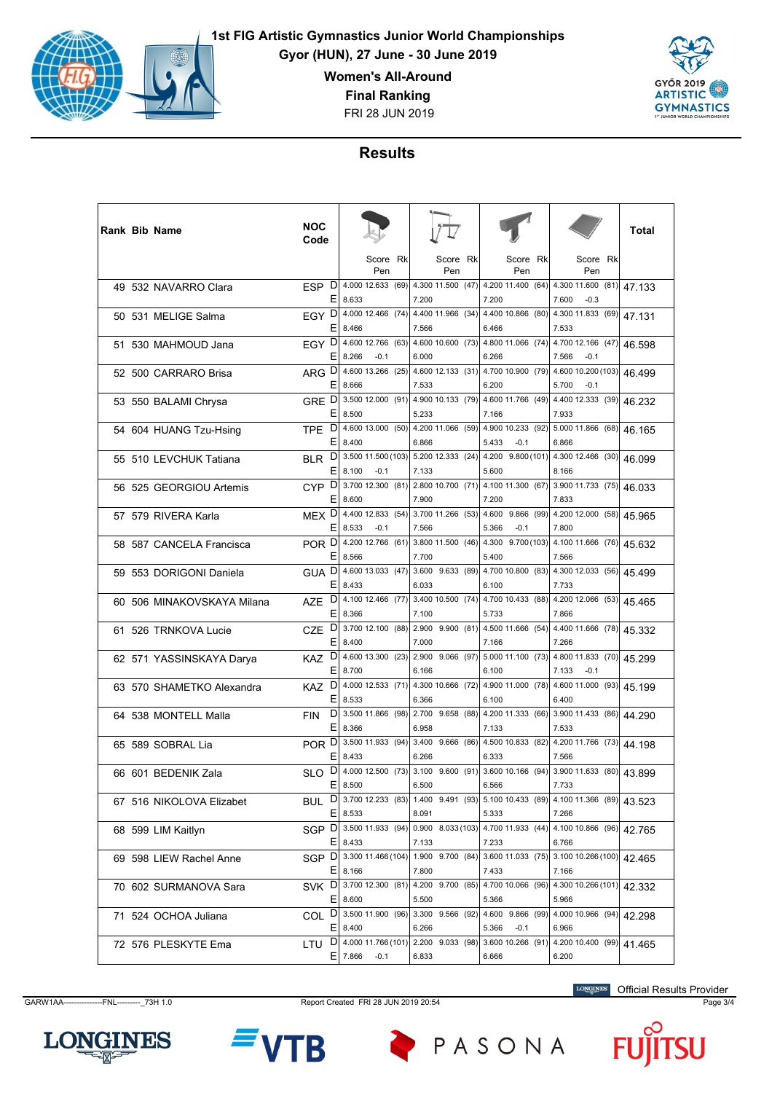

**Gyor (HUN), 27 June - 30 June 2019**

**Women's All-Around**

**Final Ranking**

FRI 28 JUN 2019



## **Results**

|  | <b>Rank Bib Name</b>       | <b>NOC</b><br>Code |         |                                       |                                 |                                                       |    |                                                                                        | Total  |
|--|----------------------------|--------------------|---------|---------------------------------------|---------------------------------|-------------------------------------------------------|----|----------------------------------------------------------------------------------------|--------|
|  |                            |                    |         | Score Rk<br>Pen                       | Score Rk<br>Pen                 | Score<br>Pen                                          | Rk | Score Rk<br>Pen                                                                        |        |
|  | 49 532 NAVARRO Clara       | ESP D              | Е       | 4.000 12.633 (69)<br>8.633            | 7.200                           | 4.300 11.500 (47) 4.200 11.400 (64)<br>7.200          |    | 4.300 11.600 (81)<br>7.600<br>$-0.3$                                                   | 47.133 |
|  | 50 531 MELIGE Salma        | EGY D              | E       | 4.000 12.466 (74)<br>8.466            | 4.400 11.966 (34)<br>7.566      | 4.400 10.866 (80)<br>6.466                            |    | 4.300 11.833 (69)<br>7.533                                                             | 47.131 |
|  | 51 530 MAHMOUD Jana        | EGY D              | Ε       | 4.600 12.766 (63)<br>8.266<br>$-0.1$  | 6.000                           | 4.600 10.600 (73) 4.800 11.066 (74)<br>6.266          |    | 4.700 12.166 (47)<br>7.566<br>-0.1                                                     | 46.598 |
|  | 52 500 CARRARO Brisa       | ARG D              | Е       | 4.600 13.266 (25)<br>8.666            | 7.533                           | 4.600 12.133 (31) 4.700 10.900 (79)<br>6.200          |    | 4.600 10.200 (103)<br>5.700<br>$-0.1$                                                  | 46.499 |
|  | 53 550 BALAMI Chrysa       | GRE <sup>D</sup>   | E       | 3.500 12.000 (91)<br>8.500            | 5.233                           | 4.900 10.133 (79) 4.600 11.766 (49)<br>7.166          |    | 4.400 12.333 (39)<br>7.933                                                             | 46.232 |
|  | 54 604 HUANG Tzu-Hsing     | TPE.               | D<br>Ε  | 4.600 13.000 (50)<br>8.400            | 4.200 11.066 (59)<br>6.866      | 4.900 10.233 (92)<br>5.433<br>$-0.1$                  |    | 5.000 11.866 (68)<br>6.866                                                             | 46.165 |
|  | 55 510 LEVCHUK Tatiana     | <b>BLR</b>         | D<br>E. | 3.500 11.500 (103)<br>8.100<br>$-0.1$ | 7.133                           | 5.600                                                 |    | 5.200 12.333 (24) 4.200 9.800 (101) 4.300 12.466 (30)<br>8.166                         | 46.099 |
|  | 56 525 GEORGIOU Artemis    | CYP <sub>D</sub>   | Ε       | 3.700 12.300 (81)<br>8.600            | 7.900                           | 7.200                                                 |    | 2.800 10.700 (71) 4.100 11.300 (67) 3.900 11.733 (75)<br>7.833                         | 46.033 |
|  | 57 579 RIVERA Karla        | MEX <sup>D</sup>   | Ε       | 4.400 12.833 (54)<br>8.533<br>$-0.1$  | 3.700 11.266 (53)<br>7.566      | 4.600 9.866 (99)<br>5.366<br>$-0.1$                   |    | 4.200 12.000 (58)<br>7.800                                                             | 45.965 |
|  | 58 587 CANCELA Francisca   | POR D              | Ε       | 4.200 12.766 (61)<br>8.566            | 7.700                           | 5.400                                                 |    | 3.800 11.500 (46) 4.300 9.700 (103) 4.100 11.666 (76)<br>7.566                         | 45.632 |
|  | 59 553 DORIGONI Daniela    | GUA <sup>D</sup>   | E       | 4.600 13.033 (47)<br>8.433            | $3.600$ $9.633$ $(89)$<br>6.033 | 4.700 10.800 (83)<br>6.100                            |    | 4.300 12.033 (56)<br>7.733                                                             | 45.499 |
|  | 60 506 MINAKOVSKAYA Milana | <b>AZE</b>         | D<br>Ε  | 4.100 12.466 (77)<br>8.366            | 7.100                           | 3.400 10.500 (74) 4.700 10.433 (88)<br>5.733          |    | 4.200 12.066 (53)<br>7.866                                                             | 45.465 |
|  | 61 526 TRNKOVA Lucie       | <b>CZE</b>         | D<br>Ε  | 3.700 12.100 (88)<br>8.400            | 7.000                           | 2.900 9.900 (81) 4.500 11.666 (54)<br>7.166           |    | 4.400 11.666 (78)<br>7.266                                                             | 45.332 |
|  | 62 571 YASSINSKAYA Darya   | KAZ.               | D<br>Ε  | 4.600 13.300 (23)<br>8.700            | 6.166                           | 2.900 9.066 (97) 5.000 11.100 (73)<br>6.100           |    | 4.800 11.833 (70)<br>7.133<br>$-0.1$                                                   | 45.299 |
|  | 63 570 SHAMETKO Alexandra  | <b>KAZ</b>         | D<br>Ε  | 4.000 12.533 (71)<br>8.533            | 4.300 10.666 (72)<br>6.366      | 4.900 11.000 (78)<br>6.100                            |    | 4.600 11.000 (93)<br>6.400                                                             | 45.199 |
|  | 64 538 MONTELL Malla       | <b>FIN</b>         | D<br>Ε  | 3.500 11.866 (98)<br>8.366            | 6.958                           | 7.133                                                 |    | 2.700 9.658 (88) 4.200 11.333 (66) 3.900 11.433 (86)<br>7.533                          | 44.290 |
|  | 65 589 SOBRAL Lia          | POR <sup>D</sup>   | Ε       | 3.500 11.933 (94)                     | $3.400$ $9.666$ (86)            | 4.500 10.833 (82)                                     |    | 4.200 11.766 (73)                                                                      | 44.198 |
|  | 66 601 BEDENIK Zala        | <b>SLO</b>         | D       | 8.433<br>4.000 12.500 (73)            | 6.266<br>$3.100$ $9.600$ (91)   | 6.333<br>$3.60010.166$ (94)                           |    | 7.566<br>3.900 11.633 (80)                                                             | 43.899 |
|  | 67 516 NIKOLOVA Elizabet   | BUL D              | Ε       | 8.500                                 | 6.500                           | 6.566                                                 |    | 7.733<br>3.700 12.233 (83) 1.400 9.491 (93) 5.100 10.433 (89) 4.100 11.366 (89)        | 43.523 |
|  | 68 599 LIM Kaitlyn         |                    | Е       | 8.533                                 | 8.091                           | 5.333                                                 |    | 7.266<br>SGP D 3.500 11.933 (94) 0.900 8.033 (103) 4.700 11.933 (44) 4.100 10.866 (96) | 42.765 |
|  | 69 598 LIEW Rachel Anne    |                    | E.      | 8.433<br>SGP D 3.300 11.466 (104)     | 7.133                           | 7.233<br>1.900 9.700 (84) 3.600 11.033 (75)           |    | 6.766<br>3.100 10.266 (100)                                                            | 42.465 |
|  | 70 602 SURMANOVA Sara      | SVK D              |         | $E$   8.166<br>$3.700$ 12.300 (81)    | 7.800                           | 7.433                                                 |    | 7.166<br>4.200 9.700 (85) 4.700 10.066 (96) 4.300 10.266 (101)                         | 42.332 |
|  | 71 524 OCHOA Juliana       |                    |         | $E$   8.600                           | 5.500                           | 5.366                                                 |    | 5.966<br>COL D 3.500 11.900 (96) 3.300 9.566 (92) 4.600 9.866 (99) 4.000 10.966 (94)   | 42.298 |
|  | 72 576 PLESKYTE Ema        |                    | E.      | 8.400<br>LTU D 4.000 11.766 (101)     | 6.266                           | 5.366<br>$-0.1$<br>2.200 9.033 (98) 3.600 10.266 (91) |    | 6.966<br>4.200 10.400 (99)                                                             | 41.465 |
|  |                            |                    |         | $E$ 7.866<br>$-0.1$                   | 6.833                           | 6.666                                                 |    | 6.200                                                                                  |        |

GARW1AA---------------FNL---------\_73H 1.0 Report Created FRI 28 JUN 2019 20:54 Page 3/4

Official Results Provider





PASONA